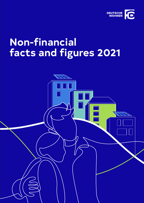

# **Non-financial facts and figures 2021**

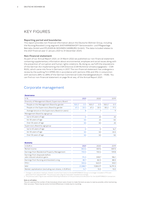## KEY FIGURES

#### **Reporting period and boundaries**

This report provides non-financial information about the Deutsche Wohnen Group, including the Nursing/Assisted Living segment (KATHARINENHOF® Seniorenwohn- und Pflegeanlage Betriebs-GmbH and PFLEGEN & WOHNEN HAMBURG GmbH). The data included relates to the 2021 financial year (1 January 2021 to 31 December 2021).

#### **Non-financial statement**

As part of our Annual Report 2021, on 31 March 2022 we published our non-financial statement containing supplementary information about environmental, employee and social issues along with the prevention of corruption and human rights violations. By doing so, we fulfil the stipulations of the German Act Implementing the CSR Directive (CSR-Richtlinie-Umsetzungsgesetz – CSR-RUG), which came into force in Germany in 2017. The non-financial statement has undergone a review by the auditing firm KPMG AG in accordance with sections 315b and 315c in conjunction with sections 289c to 289e of the German Commercial Code (Handelsgesetzbuch – HGB). You can find our non-financial statement on page 94 et seq. of the Annual Report 2021.

## Corporate management

#### **Governance**

| $ln\%$                                             |              | 2021            |              | 2020            |              | 2019            |
|----------------------------------------------------|--------------|-----------------|--------------|-----------------|--------------|-----------------|
| Diversity of Management Board, Supervisory Board   |              |                 |              |                 |              |                 |
| People on the Management Board by gender           | $100 \delta$ | O <sup>Q</sup>  | $100 \delta$ | O <sub>2</sub>  | $100 \delta$ | $\circ$ 2       |
| People on the Supervisory Board by gender          | 67 ổ         | 33 <sup>9</sup> | 67 P         | 33 <sup>9</sup> | $83\delta$   | 17 <sup>2</sup> |
| Average tenure on the Supervisory Board (in years) |              | 8               |              | 7               |              | 9               |
| Management Board by age group                      |              |                 |              |                 |              |                 |
| Up to 45 years of age                              |              | Ω               |              | 25              |              | 25              |
| 46-55 years of age                                 |              | 50              |              | 25              |              | 50              |
| Over 55 years of age                               |              | 50              |              | 50              |              | 25              |
| Supervisory Board by age group                     |              |                 |              |                 |              |                 |
| Up to 45 years of age                              |              | Ω               |              | Ω               |              | 16.7            |
| 46-55 years of age                                 |              | 50              |              | 50              |              | 33.3            |
| Over 55 years of age                               |              | 50              |              | 50              |              | 50              |

#### **Economy**

| In EUR m                                                       | 2021     | 2020               | 2019     |
|----------------------------------------------------------------|----------|--------------------|----------|
| Rental income                                                  | 843.6    | 837.6              | 837.3    |
| Earnings from Residential Property Management                  | 733.0    | 720.4              | 729.8    |
| Earnings from disposals before<br>sale-induced valuation gains | 174.5    | 308.7              | 186.1    |
| Earnings from Nursing and Assisted Living                      | 85.7     | 82.0               | 88.3     |
| FFO <sub>1</sub>                                               | 553.6    | 540.5 <sup>1</sup> | 553.1    |
| <b>NAV</b>                                                     | 21,588.7 | 17,852.92          | 16,791.3 |
| Market capitalisation (excluding own shares, in EUR bn)        | 14.7     | 15.0               | 13.0     |

1 Change in calculation method: interest income from loans to the QUARTERBACK Group is no longer included in FFO and

deducted from adjusted EBT. The previous year's figures have been restated accordingly.

2 The previous year's figure was restated following finalisation of the purchase price allocation for the QUARTERBACK transaction.

#### **Note on all tables:**

The unit used and the number of decimal places shown were chosen to make the texts as easy to read as possible, while maintaining their accuracy. There may be some minimal differences in totals due to rounding.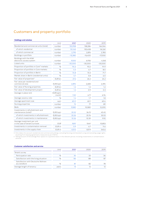## Customers and property portfolio

#### **Holdings and estates**

|                                                                      | Unit              | 2021      | 2020      | 2019    |
|----------------------------------------------------------------------|-------------------|-----------|-----------|---------|
| Residential and commercial units (total)                             | number            | 153,958   | 158,284   | 164,044 |
| of which residential                                                 | number            | 151,163   | 155,408   | 161,261 |
| of which commercial                                                  | number            | 2,795     | 2,876     | 2,783   |
| Buildings in portfolio                                               | number            | $-15,380$ | ~16,400   | ~17,000 |
| Buildings with the KIWI<br>electronic access system                  | number            | 9,500     | 6,936     | 4,565   |
| Listed units                                                         | number            | $-30,000$ | $-30,000$ | ~10,000 |
| Proportion of portfolio in Core <sup>+</sup> markets                 | $\%$              | 94.6      | 93.2      | 91.9    |
| Proportion of portfolio in Core markets                              | $\%$              | 5.3       | 6.7       | 8.0     |
| Proportion of portfolio in Berlin                                    | $\%$              | 74.8      | 73.3      | 71.7    |
| Market share in Berlin (residential units)                           | %                 | 5.7       | 5.8       | 6.0     |
| Fair value of properties <sup>3</sup>                                | EUR bn            | 27.6      | 26.2      | 24.2    |
| Fair value per residential and<br>commercial area                    | EUR/sqm           | 2,894     | 2,683     | 2,394   |
| Fair value of Nursing properties                                     | EUR bn            | 1.2       | 1.2       | 1.2     |
| Fair value of development project                                    | EUR bn            | 1.2       | 0.9       | O.3     |
| Average in-place rent                                                | EUR/sgm/<br>month | 7.20      | 6.71      | 6.94    |
| Average vacancy rate                                                 | $\%$              | 1.4       | 1.7       | 1.8     |
| Average apartment size                                               | sqm               | 60.0      | 60.1      | 60.4    |
| Nursing properties                                                   | number            | 72        | 77        | 89      |
| <b>Beds</b>                                                          | number            | 9,580     | 10,580    | 12,200  |
| Investments in refurbishment and<br>maintenance (total) <sup>4</sup> | EUR/sqm           | 35.52     | 36.15     | 45.45   |
| of which investments in refurbishment                                | EUR/sgm           | 25.26     | 25.76     | 35.53   |
| of which investments in maintenance                                  | EUR/sqm           | 10.26     | 10.39     | 9.92    |
| Average investment per unit<br>in the case of tenant turnover        | <b>EUR</b>        | 9,811     | 9,441     | 10,853  |
| Investments in contamination removal                                 | EUR <sub>m</sub>  | 5.9       | 6.7       | 11.6    |
| Investments in the supply chain                                      | EUR <sub>m</sub>  | 437.0     | 537.9     | 545.6   |

3 Only takes into account residential and commercial buildings, excluding Nursing and Assisted Living and excluding usage rights<br>resulting from leasing agreements measured as per IFSR 16.<br>4 Taking account of the average

removal.

| <b>Customer satisfaction and service</b>           |       |      |      |      |  |  |  |  |
|----------------------------------------------------|-------|------|------|------|--|--|--|--|
|                                                    | Unit  | 2021 | 2020 | 2019 |  |  |  |  |
| Tenant survey                                      |       |      |      |      |  |  |  |  |
| Participation rate                                 | $\%$  | 34   | 33   | 36   |  |  |  |  |
| Satisfaction with the living situation             | $\%$  | 86   | 88   | 87   |  |  |  |  |
| Satisfaction with Deutsche Wohnen<br>as a landlord | $\%$  | 81   | 82   | 78   |  |  |  |  |
| Average length of tenancy                          | years | 13   | 12   | 12   |  |  |  |  |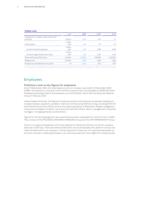#### **Outdoor areas**

|                                                 | Unit    | 2021  | 2020  | 2019    |
|-------------------------------------------------|---------|-------|-------|---------|
| Investment in outdoor areas within the          |         |       |       |         |
| portfolio                                       | EUR m   | 10.6  | 16.3  | 7.1     |
|                                                 | million |       |       |         |
| Green space                                     | sqm     | 6.9   | 7.3   | 7.9     |
|                                                 | million |       |       |         |
| of which tenants' gardens                       | sqm     | 0.9   | 0.85  | 0.89    |
|                                                 | million |       |       |         |
| of which high-biodiversity areas                | sqm     | 0.6   | 0.70  | 0.74    |
| Trees within portfolio area                     | number  | ~100  | ~100  | ~64,000 |
| Playgrounds                                     | number  | 1,593 | 1,456 | 1,455   |
| Proportion of sealed land on plots <sup>5</sup> | %       | 40.4  | 40.7  | 39.7    |

5 The proportion of sealed land is calculated as the area of land covered with impervious materials in relation to the size of the plot.

## Employees

#### **Preliminary note on key figures for employees**

As at 31 December 2021, the total headcount at our company was 5,633 (31 December 2020: 5,788). The reduction in the size of the workforce was primarily attributable to ISARIA München Projektentwicklungs GmbH (73 employees as at 31/12/2020), which left the Deutsche Wohnen Group in February 2021.

Unless stated otherwise, the figures include permanent and temporary employees (headcount includes trainees, assistants, students, interns) at the Deutsche Wohnen Group, including FACILITA and SYNVIA Group (from 2020), all as at the reporting date of 31 December. Middle management comprises the leaders of teams, service points and local offices. Senior management comprises managers, managing directors and directors.

Figures for the Nursing segment were reported and shown separately for the first time in 2020. They consist of the PFLEGEN & WOHNEN HAMBURG Group and the KATHARINENHOF® Group.

There is no regional breakdown of the key figures for Deutsche Wohnen as all the company sites are in Germany. There are other workers who are not employees who perform various nonmaterial tasks within the company. The key figures for these are not reported separately as the work involved in collecting the data is not commensurate with the insights this would provide.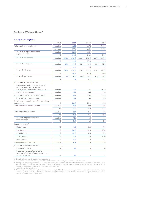#### **Deutsche Wohnen Group6**

#### **Key figures for employees**

|                                                                                                           | Unit    | 2021       |       |                 |       | 2020             |       |  | 2019 |  |  |  |       |  |       |
|-----------------------------------------------------------------------------------------------------------|---------|------------|-------|-----------------|-------|------------------|-------|--|------|--|--|--|-------|--|-------|
| Total number of employees                                                                                 | number  |            | 1,435 |                 | 1,492 |                  | 1,409 |  |      |  |  |  |       |  |       |
|                                                                                                           | average |            | 1,474 |                 | 1,454 |                  | 1,370 |  |      |  |  |  |       |  |       |
| of which in region around the                                                                             | number  | 1,213      |       |                 |       |                  |       |  |      |  |  |  | 1,259 |  | 1,196 |
| capital city Berlin                                                                                       | %       |            | 84.5  |                 | 84.4  |                  | 84.9  |  |      |  |  |  |       |  |       |
| of which permanent                                                                                        | number  | 664J       | 678 º | 686J            | 702 ¥ | 637 <sub>o</sub> | 660 º |  |      |  |  |  |       |  |       |
|                                                                                                           | %       |            | 93.5  |                 | 93.0  |                  | 92.1  |  |      |  |  |  |       |  |       |
| of which temporary                                                                                        | number  | $46\delta$ | 47 º  | 58 <sub>0</sub> | 46 º  | 55J              | 57 º  |  |      |  |  |  |       |  |       |
|                                                                                                           | $\%$    |            | 6.5   |                 | 7.0   |                  | 7.9   |  |      |  |  |  |       |  |       |
| of which full-time                                                                                        | number  | 6930       | 6019  | 725J            | 6089  | 675J             | 590 º |  |      |  |  |  |       |  |       |
|                                                                                                           | %       |            | 90.2  |                 | 89.3  |                  | 89.8  |  |      |  |  |  |       |  |       |
| of which part-time                                                                                        | number  | 173        | 124 º | $18\delta$      | 141 º | 173              | 127 º |  |      |  |  |  |       |  |       |
|                                                                                                           | %       |            | 9.8   |                 | 10.7  |                  | 10.2  |  |      |  |  |  |       |  |       |
| Employees by functional area                                                                              |         |            |       |                 |       |                  |       |  |      |  |  |  |       |  |       |
| in residential unit management and<br>administration, rental contract<br>management and tenant management | number  |            | 1,031 |                 | 1,057 |                  | 1,056 |  |      |  |  |  |       |  |       |
| in the holding company                                                                                    | number  |            | 404   |                 | 435   |                  | 353   |  |      |  |  |  |       |  |       |
| Employees in customer service (total)                                                                     | number  | 997        |       | 1,013           |       | 1,019            |       |  |      |  |  |  |       |  |       |
| of which FACILITA employees                                                                               | number  | 314        |       | 314             |       | 313              |       |  |      |  |  |  |       |  |       |
| Employees covered by collective bargaining<br>agreements                                                  | %       | 20.9       |       |                 |       | 26.0             |       |  | 28.1 |  |  |  |       |  |       |
| Total number of new employees <sup>7</sup>                                                                | number  |            | 181   |                 | 223   |                  | 315   |  |      |  |  |  |       |  |       |
|                                                                                                           | %       |            | 12.6  |                 | 14.9  |                  | 22.4  |  |      |  |  |  |       |  |       |
| Total employee turnover <sup>8</sup>                                                                      | number  |            | 231   |                 | 146   |                  | 178   |  |      |  |  |  |       |  |       |
|                                                                                                           | %       | 15.0       |       | 9.6             |       | 12.2             |       |  |      |  |  |  |       |  |       |
| of which employee-initiated                                                                               | number  |            | 124   |                 | 65    | 84               |       |  |      |  |  |  |       |  |       |
| terminations <sup>8</sup>                                                                                 | %       |            | 8.0   | 4.3             |       |                  | 5.8   |  |      |  |  |  |       |  |       |
| Length of service <sup>9</sup>                                                                            |         |            |       |                 |       |                  |       |  |      |  |  |  |       |  |       |
| Up to 1 year                                                                                              | %       |            | 11.8  |                 | 13.3  |                  | 19.9  |  |      |  |  |  |       |  |       |
| 1 to 5 years                                                                                              | %       |            | 50.2  |                 | 51.6  |                  | 45.0  |  |      |  |  |  |       |  |       |
| 6 to 15 years                                                                                             | %       |            | 26.2  |                 | 19.1  |                  | 18.2  |  |      |  |  |  |       |  |       |
| 16 to 25 years                                                                                            | $\%$    |            | 6.0   |                 | 9.0   |                  | 10.0  |  |      |  |  |  |       |  |       |
| Over 25 years                                                                                             | %       |            | 5.8   |                 | 7.0   |                  | 6.9   |  |      |  |  |  |       |  |       |
| Average length of service <sup>9</sup>                                                                    | years   |            | 6.9   |                 | 7.0   |                  | 6.8   |  |      |  |  |  |       |  |       |
| Employee satisfaction survey <sup>10</sup>                                                                |         |            |       |                 |       |                  |       |  |      |  |  |  |       |  |       |
| Participation rate                                                                                        | %       |            | 66    |                 |       |                  | 71    |  |      |  |  |  |       |  |       |
| Proportion who are "satisfied" or<br>"very satisfied" with Deutsche Wohnen<br>as their employer           | %       |            | 75    |                 |       |                  | 77    |  |      |  |  |  |       |  |       |
|                                                                                                           |         |            |       |                 |       |                  |       |  |      |  |  |  |       |  |       |

6 Excluding Nursing and Assisted Living segment.<br>7 All new hires between 1 January and 31 December of each financial year were taken into account.<br>8 The figures comprise permanent and temporary employees (headcount

a negative impact on the positive trend seen in previous years.<br>9 Not including SYNVIA Group.<br>10 The survey is carried out every two years, most recently in 2019. There were surveys in 2020 on the introduction of the digit cannot be compared with prior years.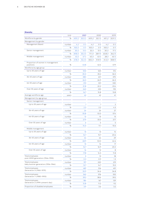#### **Diversity**

|                                                       | Unit   |              | 2021              |                   | 2020            |               | 2019              |
|-------------------------------------------------------|--------|--------------|-------------------|-------------------|-----------------|---------------|-------------------|
| Workforce by gender                                   | $\%$   | 49.9J        | 50.5 <sup>9</sup> | 49.9J             | 50.19           | 49.13         | 50.9 <sup>9</sup> |
| Management by gender                                  |        |              |                   |                   |                 |               |                   |
| Management Board                                      | number | 4 ổ          | O <sub>2</sub>    | 4d                | $\circ$ ?       | $4\delta$     | $\circ$ 2         |
|                                                       | %      | $100 \delta$ | 0 <sup>9</sup>    | 100J              | O <sub>Q</sub>  | 100J          | ΟŶ                |
| Senior management                                     | number | $30 \delta$  | 13 <sup>°</sup>   | 32 <sub>o</sub>   | 13 <sup>2</sup> | $30 \delta$   | 17 <sup>9</sup>   |
|                                                       | %      | 69.8J        | 30.2 <sup>9</sup> | 71.1 <sub>o</sub> | 28.99           | 63.8J         | 36.29             |
| Middle management                                     | number | $43\delta$   | 47 ¥              | $40\delta$        | 43P             | $28\delta$    | 40 ¥              |
|                                                       | %      | 47.8J        | 52.2 º            | 48.2J             | 51.8 ¥          | 41.2 $\delta$ | 58.89             |
| Proportion of women in management<br>positions        | %      |              | 43.8              |                   | 42.4            |               | 47.9              |
| Workforce by age group                                |        |              |                   |                   |                 |               |                   |
| Up to 35 years of age                                 | number |              | 502               |                   | 525             |               | 514               |
|                                                       | %      |              | 35.0              |                   | 35.2            |               | 36.5              |
| 36-45 years of age                                    | number |              | 380               |                   | 401             |               | 370               |
|                                                       | %      |              | 26.5              |                   | 26.9            |               | 26.3              |
| 46-55 years of age                                    | number |              | 313               |                   | 331             |               | 330               |
|                                                       | $\%$   |              | 21.8              |                   | 22.2            |               | 23.4              |
| Over 55 years of age                                  | number |              | 240               |                   | 235             |               | 195               |
|                                                       | %      |              | 16.7              |                   | 15.8            |               | 13.8              |
| Average workforce age                                 | years  |              | 42                |                   | 42              |               | 41                |
| Management by age group                               |        |              |                   |                   |                 |               |                   |
| Senior management                                     |        |              |                   |                   |                 |               |                   |
| Up to 35 years of age                                 | number |              | 1                 |                   | 1               |               | 2                 |
|                                                       | %      |              | 2.3               |                   | 2.2             |               | 4.3               |
| 36-45 years of age                                    | number |              | 24                |                   | 24              |               | 27                |
|                                                       | %      |              | 55.8              |                   | 53.3            |               | 57.4              |
| 46-55 years of age                                    | number |              | 12                |                   | 15              |               | 13                |
|                                                       | $\%$   |              | 27.9              |                   | 33.3            |               | 27.7              |
| Over 55 years of age                                  | number |              | 6                 |                   | 5               |               | 5                 |
|                                                       | $\%$   |              | 14.0              |                   | 11.1            |               | 10.6              |
| Middle management                                     |        |              |                   |                   |                 |               |                   |
| Up to 35 years of age                                 | number |              | 15                |                   | 13              |               | 14                |
|                                                       | %      |              | 16.7              |                   | 15.7            |               | 20.6              |
| 36-45 years of age                                    | number |              | 44                |                   | 44              |               | 29                |
|                                                       | $\%$   |              | 48.9              |                   | 53.0            |               | 42.6              |
| 46-55 years of age                                    | number |              | 15                |                   | 14              |               | 17                |
|                                                       | $\%$   |              | 16.7              |                   | 16.9            |               | 25.0              |
| Over 55 years of age                                  | number |              | 16                |                   | 12              |               | 8                 |
|                                                       | $\%$   |              | 17.8              |                   | 14.5            |               | 11.8              |
| Total employees<br>post-WWII generation (1946-1955)   | number |              | 5                 |                   | 13              |               | 18                |
|                                                       | $\%$   |              | 0.3               |                   | 0.9             |               | 1.3               |
| Total employees<br>baby boomer generation (1956-1964) | number |              | 197               |                   | 220             |               | 219               |
|                                                       | %      |              | 13.7              |                   | 14.7            |               | 15.5              |
| Total employees<br>Generation X (1965-1979)           | number |              | 487               |                   | 516             |               | 491               |
|                                                       | %      |              | 33.9              |                   | 34.6            |               | 34.8              |
| Total employees<br>Generation Y (1980-1993)           | number |              | 562               |                   | 576             |               | 552               |
|                                                       | $\%$   |              | 39.2              |                   | 38.6            |               | 39.2              |
| Total employees<br>Generation Z (1994-present day)    | number |              | 184               |                   | 167             |               | 129               |
|                                                       | $\%$   |              | 12.8              |                   | 11.2            |               | 9.2               |
| Proportion of disabled employees                      | $\%$   |              | 3.9               |                   | 3.6             |               | 3.2               |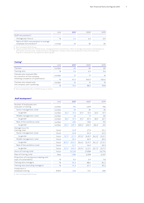|                                                                               | Unit    | 2021 | 2020 | 2019 |
|-------------------------------------------------------------------------------|---------|------|------|------|
| Staff remuneration <sup>11</sup>                                              |         |      |      |      |
| Average pay rise p.a.                                                         | $\%$    |      |      |      |
| Ratio of CEO's remuneration to average<br>employee remuneration <sup>12</sup> | x times |      | 36   |      |

11 Not including SYNVIA Group.<br>12 Figures exclude FACILITA, SYNVIA Group, managing directors and directors. Ratio of average remuneration of employees on<br>permanent contracts (excl. middle and senior management, trainees, i

#### **Training13**

|                                                              | Unit   | 2021 | 2020  | 2019  |
|--------------------------------------------------------------|--------|------|-------|-------|
| <b>Trainees</b>                                              | number | 60   | 69    | 60    |
| Training ratio                                               | %      | 5.6  | 6.2   | 5.6   |
| Trainees who received offer<br>for a position at the company | number | 27   | 17    | 16    |
| following completion of qualification                        | %      | 90.0 | 100.0 | 100.0 |
| Trainees who stayed with                                     | number | 22   | 15    | 15    |
| the company upon qualifying                                  | %      | 73.0 | 88.2  | 93.8  |

13 Not including FACILITA or SYNVIA Group or interns.

#### Staff development<sup>14</sup>

|                                                                      | Unit         |                        | 2021              |                 | 2020             |                   | 2019            |
|----------------------------------------------------------------------|--------------|------------------------|-------------------|-----------------|------------------|-------------------|-----------------|
| Number of employees who<br>took part in training                     | number       |                        | 794               |                 | 1,013            |                   | 796             |
| Senior management, total                                             | number       |                        | 39                |                 | 39               |                   | 35              |
| by gender                                                            | number       | $26\delta$             | 13 <sup>Q</sup>   | 27 <sub>5</sub> | 12 <sup>2</sup>  | $23 \delta$       | 12 <sup>°</sup> |
| Middle management, total                                             | number       |                        | 65                |                 | 71               |                   | 60              |
| by gender                                                            | number       | $28 \delta$            | 37 <sup>Q</sup>   | $31\delta$      | 40 9             | $28\delta$        | 32 º            |
| Rest of the workforce, total                                         | number       |                        | 690               |                 | 903              |                   | 701             |
| by gender                                                            | number       | 251 <sub>o</sub>       | 439 º             | 500 $\delta$    | 403 <sup>9</sup> | $454 \delta$      | 247             |
| Average hours for<br>training, total                                 | hours        |                        | 12.8              |                 | 17.6             |                   | 21.1            |
| Senior management, total                                             | hours        |                        | 15.8              |                 | 24.5             |                   | 21.0            |
| by gender                                                            | hours        | 13.1 <sub>o</sub>      | 21.19             | 19.9J           | 34.89            | $24.2 \delta$     | 15.0 º          |
| Middle management, total                                             | hours        |                        | 22.4              |                 | 34.0             |                   | 30.5            |
| by gender                                                            | hours        | $18.9 \text{ } \delta$ | 25.09             | $33.6 \delta$   | 31.99            | 34.1 <sub>0</sub> | $27.3$ $9$      |
| Rest of the workforce, total                                         | hours        |                        | 11.7              |                 | 16.0             |                   | 20.3            |
| by gender                                                            | hours        | 13.7 <sub>o</sub>      | 10.5 <sup>9</sup> | 19.93           | 11.29            | 22.73             | 15.79           |
| Hours of training, total                                             | hours        |                        | 10,125            |                 | 17,838           |                   | 16,774          |
| Days of training, total                                              | days         |                        | 1,282             |                 | 2,258            |                   | 2,107           |
| Proportion of training hours dealing with<br>topic of sustainability | $\%$         |                        | 8.0               |                 | 3.9              |                   | 7.8             |
| Training ratio managers                                              | $\%$         |                        | 91.0              |                 | 88.6             |                   | 81.2            |
| Training ratio (excluding managers)                                  | %            |                        | 74.3              |                 | 67.1             |                   | 59.2            |
| Investment in<br>employee training                                   | <b>EUR</b> k |                        | 622               |                 | 711              |                   | 696             |

14 Not including SYNVIA Group.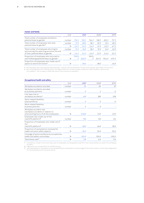#### **Career and family**

|                                                                                   | Unit   |                       | 2021             |                       | 2020              |              | 2019             |
|-----------------------------------------------------------------------------------|--------|-----------------------|------------------|-----------------------|-------------------|--------------|------------------|
| Total number of employees entitled to<br>parental leave by gender                 | number | $710 \, \textit{\AA}$ | 725 <sup>9</sup> | $744 \text{ } \sigma$ | 748 ¥             | 692a         | 717 ¥            |
| Total number of employees who took<br>parental leave by gender <sup>15</sup>      | number | 173                   | 689              | $18\delta$            | 55 <sup>9</sup>   | $15 \delta$  | 489              |
|                                                                                   | $\%$   | 2.4J                  | 9.49             | 2.4J                  | 7.4P              | 2.2 J        | 6.7 <sup>9</sup> |
| Total number of employees returning to                                            | number | 173                   | 25 <sup>9</sup>  | $18\delta$            | 19 <sup>2</sup>   | $14\delta$   | 23 <sup>9</sup>  |
| work during the reporting period at the end<br>of their parental leave, by gender | %      | 2.4J                  | 3.49             | 2.4J                  | 2.5 <sup>9</sup>  | $2.0 \delta$ | 3.2 <sup>9</sup> |
| Proportion of employees who returned to                                           |        | 100.0                 |                  | 100.0                 |                   |              |                  |
| work following parental leave, by gender                                          | %      | ී                     | 36.89            | ී                     | 34.5 <sup>9</sup> | 93.3J        | 47.9P            |
| Proportion of employees who made use of<br>option to work from home <sup>16</sup> | $\%$   |                       | 90.4             |                       | 89.2              |              | 42.9             |
|                                                                                   |        |                       |                  |                       |                   |              |                  |

15 All employees who took parental leave between 1 January and 31 December of each financial year were taken into account.

16 Not including FACILITA, SYNVIA Group; this figure does not include trainees, temporary staff, students, interns and mini-jobbers. The increase in 2020 was due to the coronavirus pandemic.

#### **Occupational health and safety** Unit 2021 2020 2019 Workplace accidents recorded number 33 50 37 Workplace accidents recorded by business partners and the community of the community of the community of the community of the community of  $\sim$  0 Lost days due to workplace accidents<sup>17</sup> and the mumber that the 429 and the 429 and 429 and 578 and 578 and 578 and 578 and 578 and 578 and 578 and 578 and 578 and 578 and 578 and 578 and 578 and 578 and 578 and 578 and 578 and 578 and 57 Work-related fatalities, total workforce and the number of the control of the control of the control of the control of the control of the control of the control of the control of the control of the control of the control of the control of the cont Work-related fatalities, business partners number 0 0 – Workplace accident rate (workplace accidents in relation to total working hours of all the employees)  $\%$  0.004 0.01 0.01 0.01 Employees who made use of the *machtfit* platform18 number 730 743 414 Proportion of employees who made use of the *machtfit* platform18 % 68.2 66.9 38.3 Proportion of workstations reviewed for health and work safety aspects  $\%$  95.0 95.0 95.0 95.0 Coverage of entire workforce by occupational health and safety committees 10000 100.0 100.0 100.0 100.0 100.0 Total illness rate<sup>19</sup> 5.6 6.0 5.6 6.0 5.6 6.0 5.6 6.0 5.6 6.0 5.6 6.9 6.1 6.1  $\frac{1}{2}$

17 Cumulative number of lost work days due to employees not being able to perform their usual duties as a result of a workplace accident.

18 Figures do not include FACILITA, SYNVIA Group.<br>19 Lost days based on calculation of actual absents

19 Lost days based on calculation of actual absenteeism expressed as a percentage of the total number of work days designated for the employees over the same period.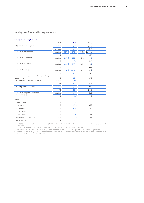#### **Nursing and Assisted Living segment**

#### **Key figures for employees<sup>20</sup>**

|                                                          | Unit    |                  | 2021      |              | 2020    |  |      |  |
|----------------------------------------------------------|---------|------------------|-----------|--------------|---------|--|------|--|
| Total number of employees                                | number  |                  | 4,198     | 4,093        |         |  |      |  |
|                                                          | average |                  | 4,188     |              | 4,091   |  |      |  |
| of which permanent                                       | number  | $739 \delta$     | $2,670$ º | 730J         | 2,766 º |  |      |  |
|                                                          | %       |                  | 81.2      |              | 85.4    |  |      |  |
| of which temporary                                       | number  | 207 <sub>o</sub> | 582 º     | $151 \delta$ | 446 9   |  |      |  |
|                                                          | %       |                  | 18.8      |              | 14.6    |  |      |  |
| of which full-time                                       | number  | 6423             | 1,520 ¥   | 568J         | 1,455 ¥ |  |      |  |
|                                                          | %       |                  | 51.5      |              | 49.4    |  |      |  |
| of which part-time                                       | number  | $304 \delta$     | 1,732 º   | 308d         | 1,762 ¥ |  |      |  |
|                                                          | $\%$    |                  | 48.5      |              | 50.6    |  |      |  |
| Employees covered by collective bargaining<br>agreements | %       |                  | 48.0      |              |         |  | 49.9 |  |
| Total number of new employees <sup>21</sup>              | number  |                  | 1,110     | 992          |         |  |      |  |
|                                                          | $\%$    |                  | 26.4      | 24.2         |         |  |      |  |
| Total employee turnover <sup>22</sup>                    | number  |                  | 1,196     |              | 819     |  |      |  |
|                                                          | %       |                  | 28.0      |              | 20.0    |  |      |  |
| of which employee-initiated                              | number  |                  | 660       | 362          |         |  |      |  |
| terminations                                             | $\%$    |                  | 15.7      |              |         |  |      |  |
| Length of service                                        |         |                  |           |              |         |  |      |  |
| Up to 1 year                                             | %       |                  | 19.7      |              | 21.8    |  |      |  |
| 1 to 5 years                                             | %       |                  | 37.4      |              | 35.2    |  |      |  |
| 6 to 15 years                                            | %       |                  | 26.8      |              | 26.5    |  |      |  |
| 16 to 25 years                                           | %       | 10.2             |           | 10.1         |         |  |      |  |
| Over 25 years                                            | %       |                  | 6.0       |              | 6.4     |  |      |  |
| Average length of service                                | years   |                  | 7.6       |              | 7.7     |  |      |  |
| Total illness rate <sup>23</sup>                         | $\%$    |                  | 6.9       |              | 6.1     |  |      |  |

20 For 2020, not including trainees and interns (113/17) at the KATHARINENHOF® Group; the average was calculated for the past

12 months.<br>21 All new hires between 1 January and 31 December of each financial year were taken into account.<br>22 The figures comprise permanent and temporary employees (headcount) who left between 1 January and 31 December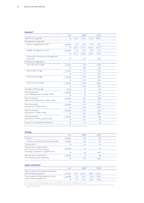#### **Diversity24**

|                                                | Unit   |                   | 2021   |                   | 2020            |  |
|------------------------------------------------|--------|-------------------|--------|-------------------|-----------------|--|
| Workforce by gender                            | %      | 22.5J             | 77.5 º | 21.5J             | 78.5 º          |  |
| Management by gender                           |        |                   |        |                   |                 |  |
| Senior management, total                       | number | 21 <sub>o</sub>   | 38 º   | 19J               | 16 <sup>2</sup> |  |
|                                                | %      | $35.6 \delta$     | 64.49  | 54.3J             | 45.79           |  |
| Middle management, total                       | number | 32 <sub>0</sub>   | 74 º   | 37 <sub>g</sub>   | 92 º            |  |
|                                                | %      | 30.2 <sub>o</sub> | 69.89  | 28.7 <sub>o</sub> | 71.3 º          |  |
| Proportion of women in management<br>positions | %      |                   | 67.9   |                   | 65.9            |  |
| Workforce by age group                         |        |                   |        |                   |                 |  |
| Up to 35 years of age                          | number |                   | 1,178  |                   | 1,026           |  |
|                                                | %      |                   | 28.1   |                   | 25.1            |  |
| 36-45 years of age                             | number |                   | 927    |                   | 953             |  |
|                                                | $\%$   |                   | 22.1   |                   | 23.3            |  |
| 46-55 years of age                             | number |                   | 1,005  |                   | 1,074           |  |
|                                                | %      |                   | 23.9   |                   | 26.2            |  |
| Over 55 years of age                           | number |                   | 1,088  |                   | 1,040           |  |
|                                                | %      |                   | 25.9   |                   | 25.4            |  |
| Average workforce age                          | years  |                   | 43     |                   | 45              |  |
| Total employees                                | number |                   | 68     |                   | 104             |  |
| post-WWII generation (1946-1955)               | %      |                   | 1.6    |                   | 2.5             |  |
| Total employees                                | number |                   | 867    |                   | 928             |  |
| baby boomer generation (1956-1964)             | $\%$   |                   | 20.7   |                   | 22.7            |  |
| Total employees                                | number |                   | 1,519  |                   | 1,509           |  |
| Generation X (1965-1979)                       | %      |                   | 36.2   |                   | 36.9            |  |
| Total employees                                | number |                   | 1,197  |                   | 1,161           |  |
| Generation Y (1980-1993)                       | $\%$   |                   | 28.5   |                   | 28.4            |  |
| Total employees                                | number |                   | 547    |                   | 391             |  |
| Generation Z (1994-present day)                | %      |                   | 13.0   |                   | 9.6             |  |
| Proportion of disabled employees               | %      |                   | 6.2    |                   | 5.5             |  |
|                                                |        |                   |        |                   |                 |  |

24 For 2020, not including trainees and interns (113/17) at the KATHARINENHOF® Group.

#### **Training**

| training                                                     |        |      |      |  |
|--------------------------------------------------------------|--------|------|------|--|
|                                                              | Unit   | 2021 | 2020 |  |
| <b>Trainees</b>                                              | number | 267  | 231  |  |
| of which recruited in the reporting year                     | number | 120  | 81   |  |
| Training ratio                                               | %      | 6.4  | 5.5  |  |
| Trainees who received offer<br>for a position at the company | number | 54   | 42   |  |
| following completion of qualification                        | %      | 68   | 95.2 |  |
| Trainees who stayed with                                     | number | 42   | 36   |  |
| the company upon qualifying                                  | %      | 77.8 | 85.7 |  |

#### **Career and family<sup>25</sup>**

|                                                                   | Unit                               | 2021                                               | 2020 |  |
|-------------------------------------------------------------------|------------------------------------|----------------------------------------------------|------|--|
| Total number of employees entitled to<br>parental leave by gender | number 946 8 3,252 9 881 8 3,212 9 |                                                    |      |  |
| Total number of employees who took                                | number 13.8 140.9 16.8 153.9       |                                                    |      |  |
| parental leave by gender <sup>26</sup>                            |                                    | $\%$ 1.4 $\AA$ 4.3 $\Omega$ 1.8 $\AA$ 4.8 $\Omega$ |      |  |

25 For 2020, not including trainees and interns (113/17) at the KATHARINENHOF® Group.<br>26 All employees who took either partial or full parental leave between 1 January and 31 December of each financial year were<br>taken int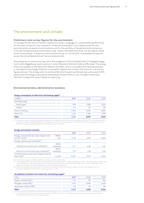### The environment and climate

#### **Preliminary note on key figures for the environment**

To manage the key environmental impacts and issues, we gauge our sustainability performance on the basis of specific key indicators. These are presented in the tables below for the administrative occupations and locations and for the portfolio of residential and commercial units (excluding Nursing and Assisted Living). Unless indicated otherwise, the key figures relate to the financial year in question and the entire Group (i.e. all the fully consolidated companies as per the consolidated annual financial statements).

One exception to the accounting rule is the recognition of G+D Gesellschaft für Energiemanagement mbH, Magdeburg, a joint venture in which Deutsche Wohnen holds a 49% stake. The energy that G+D supplies to the Deutsche Wohnen portfolio, which is provided with heating centrally, is recorded in the energy footprint consumption figures and is taken into account in all the key figures derived. The energy which is sold and fed into the grid (combined heat and power [CHP] plants and the energy produced by Stadtwerke Thale GmbH) is not included in Deutsche Wohnen's energy and carbon footprint reporting.

#### **Environmental data, administrative locations**

| In MWh           | 2021  | 2020  | 2019  |
|------------------|-------|-------|-------|
| Heating energy   |       |       |       |
| Natural gas      | 989   | 1,087 | 1,205 |
| Pellets          | 4.9   | 5.7   | 5.8   |
| District heating | 4,959 | 5,635 | 5,563 |
| Electricity      | 1,081 | 1,349 | 1,378 |
| <b>Total</b>     | 7,034 | 8,077 | 8,152 |

#### **Energy consumption of electricity and heating supply27**

27 The electricity and heating consumption values for the administrative locations (comprising a total of 117 offices) have been adjusted to reflect weather conditions. The figures for electricity consumption in 2021 were taken from the statements and<br>those for heating energy were based on the previous year's forecasts.

#### **Energy and emission intensity**

|                                                                            |                     | 2021  | 2020  | 2019  |
|----------------------------------------------------------------------------|---------------------|-------|-------|-------|
| Energy consumption per sqm of gross inter-<br>nal floor area <sup>28</sup> | MWh/<br>sam         | 0.218 | 0.251 | 0.253 |
| Energy intensity per employee <sup>29</sup>                                |                     |       |       |       |
| Heating consumption per employee <sup>29</sup>                             | MWh/<br>employee    | 5.77  | 6.36  | 6.41  |
| Electricity consumption per employee <sup>29</sup>                         | MWh/<br>employee    | 1.05  | 1.28  | 1.30  |
| Climate emissions per sqm of gross internal<br>floor area <sup>30</sup>    | t CO <sub>2</sub> e | 0.064 | 0.071 | N N79 |

28 The intensity figures relate to 32,221 sqm of gross internal floor area.

79 The average electricity and heat requirements per employee relate to 1,056 employees in 2019, 1,057 employees in 2020 and 1,036 employees in 2020 and 1,031 employees in the reporting year. The staff actively employed at

30 Emission intensity was calculated on the basis of the administrative locations' Scope 1, Scope 2 and Scope 3 (cat. 3) emissions (see Deutsche Wohnen carbon footprint, p. 20).

#### **Air pollutant emissions from electricity and heating supply31**

| In kg                              | 2021  | 2020  | 2019  |
|------------------------------------|-------|-------|-------|
| Sulphur dioxide (SO <sub>2</sub> ) | 726   | 773   | 766   |
| Nitrogen oxides $(NO_x)$           | 1.994 | 2.469 | 2.461 |
| Particulate matter (PM)            | 110   | 121   | 118   |
| Total                              | 2,830 | 3,363 | 3,346 |

31 Air pollutant emissions were calculated using the GEMIS 5.0 factors. The values show the direct and indirect air pollutant emissions from electricity and heating supply.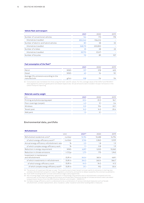#### **Vehicle fleet and transport**

|                                        | 2021    | 2020    | 2019 |
|----------------------------------------|---------|---------|------|
| Number of conventional vehicles        | 144     | 173     | 178  |
| Kilometres travelled                   | 850,042 | 936,012 |      |
| Number of electric and hybrid vehicles | 80      | 38      | 33   |
| Kilometres travelled                   | 368,172 | 230,850 |      |
| Number of e-bikes                      | 35      | 28      | 23   |
| Kilometres travelled                   | 39.770  | 57,471  |      |
| Number of bicycles                     | 112     | 89      | 107  |
|                                        |         |         |      |

#### Fuel consumption of the fleet<sup>32</sup>

|                                                                    |            | 2021 | 2020 | 2019 |
|--------------------------------------------------------------------|------------|------|------|------|
| Petrol                                                             | <b>MWh</b> | 517  | 578  | 623  |
| Diesel                                                             | <b>MWh</b> | 40   | 94   | 151  |
| Average CO <sub>2</sub> emissions according to the<br>manufacturer | g/km       | 108  | 114  | 114  |

32 Consumption was translated into litres using the fuels' calorific values. For this, average values of 8.4 kWh/l and 9.8 kWh/l were applied for premium-grade petrol and diesel respectively. Actual emissions were included in Scope 1 emissions in the carbon footprint reporting.

#### **Materials used by weight**

| In t                            | 2021 | 2020 | 2019 |
|---------------------------------|------|------|------|
| Printing and photocopying paper | 45.4 | 25.3 | 36.1 |
| Floor coverings (carpet)        | 4.3  | 9.1  | 3.4  |
| Windows                         | O.O  | 19.4 | 20.1 |
| Tenant post                     | 14.2 | 14.5 | 25.4 |
| Wall paint                      | 1.3  | 3.1  |      |

#### **Environmental data, portfolio**

#### **Refurbishment**

|                                                       | Unit                | $2021^{33}$ | 2020   | 2019   |
|-------------------------------------------------------|---------------------|-------------|--------|--------|
| Refurbished residential units <sup>34</sup>           | number              | 13,194      | 13,488 | 14,794 |
| of which energy-efficiency work <sup>35</sup>         | number              | 3,746       | 2,863  | 3,109  |
| Annual energy-efficiency refurbishment rate           | $\%$                | 2.5         | 1.8    | 1.9    |
| of which complex energy-efficiency work               | $\%$                | 1.1         | O.8    | 1.9    |
| Reduction in energy requirement                       | MWh                 | 6,817       | 5,523  | 13,260 |
| Reduction in climate emissions                        | t CO <sub>2</sub> e | 1,711       | 775    | 1,943  |
| Investment in maintenance<br>and refurbishment        | EUR m               | 343.4       | 365.4  | 469.1  |
| of which investments in refurbishment                 | EUR <sub>m</sub>    | 244.2       | 260.4  | 366.7  |
| of which energy-efficiency work                       | EUR <sub>m</sub>    | 44.3        | 34.2   | 41.2   |
| of which complex energy-efficiency work <sup>36</sup> | EUR <sub>m</sub>    | 31.1        | 19.2   | 30.4   |
|                                                       |                     |             |        |        |

33 The amount of investment fell year on year. This is partly due to lower tenant turnover, partly to reticence in starting new

complex refurbishment projects in view of regulatory uncertainty, and partly to delays caused by the coronavirus pandemic.<br>
34 From 2019 including tenant turnover and without large-scale programmes.<br>
35 Not including large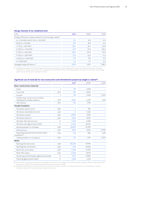#### **Energy intensity of our residential units**

| In $%$                                                              | 2021  | 2020  | 2019  |
|---------------------------------------------------------------------|-------|-------|-------|
| Energy efficiency classes based on final energy needs <sup>37</sup> |       |       |       |
| $A + < 30$ kWh and A 30 to < 50 kWh                                 | 0.5   | 0.3   | 0.3   |
| $B$ 50 to < 75 kWh                                                  | 8.9   | 8.9   | 6.4   |
| $C$ 75 to < 100 kWh                                                 | 25.9  | 24.1  | 22.8  |
| D 100 to < 130 kWh                                                  | 27.7  | 27.6  | 30.2  |
| $E$ 130 to < 160 kWh                                                | 20.5  | 20.8  | 23.5  |
| $F160$ to < 200 kWh                                                 | 12.5  | 12.5  | 11.3  |
| G 200 to < 250 kWh                                                  | 2.9   | 3.8   | 3.3   |
| $H > 250$ kWh                                                       | 1.0   | 1.9   | 2.4   |
| Average energy efficiency <sup>37</sup>                             | 122.8 | 125.1 | 128.9 |
|                                                                     |       |       |       |

37 Weighted average of the final energy consumptions based on current energy performance certificates relating to the gross<br>internal floor area of residential units (the approximately 30,000 listed units are generally not

|  | Significant use of materials for new construction and refurbishment projects by weight or volume <sup>38</sup> |  |  |  |  |
|--|----------------------------------------------------------------------------------------------------------------|--|--|--|--|
|--|----------------------------------------------------------------------------------------------------------------|--|--|--|--|

|                                                                |       | 2021    | 2020   | 2019   |
|----------------------------------------------------------------|-------|---------|--------|--------|
| <b>Basic construction materials</b>                            |       |         |        |        |
| Steel                                                          | $\pm$ | 89      | 1,303  |        |
| Concrete                                                       | cbm   | 961     | 9,057  |        |
| Screed                                                         | t     | 110     | 1,403  | 1,070  |
| Timber (e.g. construction timber,<br>fibreboard, wooden beams) | cbm   | 9.524   | 4,013  | 255    |
| AAC blocks                                                     | cbm   | 144     | 1,102  |        |
| Facade/insulation                                              |       |         |        |        |
| Windows (aluminium)                                            | sqm   | 4       | 301    |        |
| Windows (wood/aluminium)                                       | sqm   | $\circ$ | 1,632  |        |
| Windows (wood)                                                 | sqm   | 2,809   | 7,533  |        |
| Windows (plastic)                                              | sqm   | 1,296   | 9,021  |        |
| Window sills (aluminium)                                       | m     | 1,460   | 4,652  |        |
| Window sills (galvanised steel)                                | m     | 4,032   | 8,406  |        |
| Mineral plaster for facades                                    | sqm   | 56,877  | 41,699 |        |
| Mineral wool                                                   | cbm   | 7,695   | 9,531  | 17,755 |
| Expanded polystyrene and perimeter<br>insulation <sup>39</sup> | cbm   | 742     | 955    | 1,129  |
| Cellulose blown-in insulation                                  | cbm   | 90      | 1,193  | 2,921  |
| <b>Roofs</b>                                                   |       |         |        |        |
| Roofing felt (bitumen)                                         | sqm   | 26,203  | 19,796 |        |
| Roofing felt (synthetic)                                       | sqm   | 269     | 13,502 |        |
| Roof tiles (concrete)                                          | sqm   | 2,535   | 11,453 |        |
| Roof tiles (clay)                                              | sqm   | 4,502   | 8,015  |        |
| Guttering and drainpipes (galvanised steel)                    | m     | 7,410   | 11,820 |        |
| Flashing (galvanised steel)                                    | m     | 2,615   | 4,513  |        |

38 The volume of material used varies according to the number and scope of the refurbishment projects effected. Refurbishment<br>accounts for 75% of the material used and new construction for 25%.<br>39 Expanded polystyrene was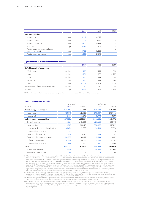|                                                      |     | 2021  | 2020   | 2019 |
|------------------------------------------------------|-----|-------|--------|------|
| Interior outfitting                                  |     |       |        |      |
| Flooring (wood)                                      | sqm | 4,917 | 18,692 |      |
| Flooring (tiles)                                     | sam | 2,069 | 4,918  |      |
| Flooring (linoleum)                                  | sam | 6,021 | 8,494  |      |
| Wall tiles                                           | sqm | 3,493 | 17,003 |      |
| Plasterboard panels/dry plaster<br>(not on studwork) | sqm | 1,433 | 8,856  |      |
| Plasterboard partitions                              | sam | 5,868 | 31,576 |      |
|                                                      |     |       |        |      |

#### Significant use of materials for tenant turnover<sup>40</sup>

|                                    |        | 2021   | 2020   | 2019   |
|------------------------------------|--------|--------|--------|--------|
| <b>Refurbishment of bathrooms</b>  |        |        |        |        |
| Wash basins                        | number | 1,993  | 2,227  | 1,796  |
| Taps                               | number | 3,986  | 4,454  | 3,592  |
| <b>WCs</b>                         | number | 1.993  | 2,227  | 1,796  |
| Bath tubs                          | number | 1.993  | 2,227  | 1.796  |
| Tiles                              | sam    | 41,059 | 42,967 | 29,657 |
| Replacement of gas heating systems | number | 141    | 126    | 75     |
| Flooring                           | sqm    | 46,623 | 33,363 | 54,310 |
|                                    |        |        |        |        |

40 The volume of material used varies according to the number and scope of the tenant turnover projects.

#### **Energy consumption, portfolio**

|                                      | Absolute <sup>41</sup> |           | Like-for-like <sup>42</sup> |           |
|--------------------------------------|------------------------|-----------|-----------------------------|-----------|
| In MWh                               | 2021                   | 202043    | 2021                        | 2020      |
| Direct energy consumption            | 434,350                | 475,433   | 404,809                     | 408,623   |
| Natural gas                          | 431,819                | 462,588   | 395,839                     | 396,906   |
| Heating oil                          | 2,531                  | 12,845    | 8,970                       | 11,717    |
| Indirect energy consumption          | 1,075,786              | 1,099,331 | 1,041,254                   | 1,051,776 |
| District heating                     | 642,664                | 645,803   | 620,464                     | 622,911   |
| Local heating <sup>44</sup>          | 395,240                | 418,475   | 388,052                     | 397,192   |
| renewable district and local heating | 80,674                 | 79,833    | 78,910                      | 77,770    |
| renewable share (in %)               | 7.8                    | 7.5       | 7.8                         | 7.6       |
| Electricity for heating              | 994                    | 1,381     | 994                         | 1,262     |
| Electricity for communal areas       | 36,888                 | 33,672    | 31,744                      | 30,412    |
| of which renewable                   | 30,764                 | 29,318    | 27,322                      | 26,177    |
| renewable share (in %)               | 83.4                   | 87.1      | 86.1                        | 86.1      |
| Total                                | 1,510,137              | 1,574,765 | 1,446,064                   | 1,460,400 |
| of which renewable                   | 111,439                | 109,151   | 106,233                     | 103,947   |
| renewable share (in %)               | 7.4                    | 6.9       | 7.3                         | 7.1       |
|                                      |                        |           |                             |           |

41 The values represent the energy consumption of Deutsche Wohnen's total portfolio. The following lettable areas were used for the calculation: 2021 – 9.5 million sqm, 2020 – 9.8 million sqm. The distinction between direct and indirect consumption was more precise than in prior years. Total energy consumption for heating was measured using the energy certificates for each building and the gross internal floor area (lettable area × 1.2). Consumption figures are based on energy consumption<br>certificates (58%), energy specification certificates (29%) and the construction dates of buildings source (13%). The category "Electricity for heating" refers to the electricity used for heating apartments, in electric storage heaters for example. Electricity for communal areas in about 85% of the letting portfolio is supplied under a framework<br>agreement for green power. Electricity consumption is measured by reference to the statement from the only the non-renewable part is calculated using an average value for each lettable area.

42 The like-for-like comparison relates to a segment of the absolute reference framework which was in Deutsche Wohnen's<br>possession uninterrupted for the two-year period. The like-for-like reference framework for heating an supplies comprises approximately 9 million sqm lettable area and 148,702 units.

43 The final energy consumption figures have been updated and differ from those provided in the Sustainability Report 2020.<br>This is attributable to updated final energy figures and data on the heating providers' energy sou

refers to the heat generated by pellets and biogas and the share of renewable energy in the district heating supplied by the respective providers (published certificates). Not all providers currently show this share. The aim is to obtain this information by asking them.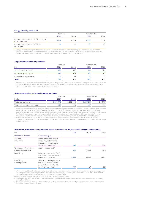#### **Energy intensity, portfolio<sup>45</sup>**

|                                                       | Absolute |       | Like-for-like |       |
|-------------------------------------------------------|----------|-------|---------------|-------|
|                                                       | 2021     | 2020  | 2021          | 2020  |
| Energy consumption in MWh per sqm<br>of lettable area | 0.159    | 0.160 | O 159         | 0.160 |
| Energy consumption in MWh per<br>rental unit          | 9.8      | 9.9   | 9.7           | 9.9   |

45 Energy intensity per sqm lettable area and unit is based on the energy consumption figures for heating and communal<br>electricity for the whole portfolio or the like-for-like framework. For the reference values for the ab figures, see the explanations in the footnotes under the table "Energy consumption, portfolio".

#### **Air pollutant emissions of portfolio46**

|                                    | Absolute |      | Like-for-like |      |
|------------------------------------|----------|------|---------------|------|
| In t                               | 2021     | 2020 | 2021          | 2020 |
| Sulphur dioxide (SO <sub>2</sub> ) | 105      | 107  | 101           | 103  |
| Nitrogen oxides $(NO_x)$           | 388      | 401  | 372           | 377  |
| Particulate matter (PM)            | 20       | 21   | 19            | 19   |
| <b>Total</b>                       | 513      | 529  | 492           | 499  |

46 The emissions from the combustion of natural gas, heating oil and pellets as well as district heating emissions were calculated<br>using the GEMIS 5.0 factors. For the reference values for the absolute and like-for-like fi footnotes under the table "Energy consumption, portfolio".

#### **Water consumption and water intensity, portfolio47**

|                           | Absolute  |           | Like-for-like <sup>48</sup> |           |  |
|---------------------------|-----------|-----------|-----------------------------|-----------|--|
| In chm                    | 2021      | 2020      | 2021                        | 2020      |  |
| Water consumption         | 8.294.778 | 8.583.640 | 8.239.241                   | 8.511.117 |  |
| Water consumption per sqm | 1 27      | 130       | 1 27                        | 129       |  |

47 The data relates to our Berlin portfolio, for which consumption figures are already available. The data is taken from our main water meters. These record both the individual tenants' consumption levels, which account for the majority of total consumption, and general water consumption in the communal areas as well as for sprinkler systems. There are no sub-meters for the individual spaces in part of our portfolio. It is therefore not currently possible to provide separate data for water consumption in the communal areas, which account for only a very small proportion – less than 1% – of the total area.

48 The like-for-like comparison relates to a segment of the absolute reference framework which was in Deutsche Wohnen's possession uninterrupted for the two-year period. The like-for-like reference framework comprises approximately 6.5 million sqm and 107,638 units.

#### **Waste from maintenance, refurbishment and new construction projects which is subject to monitoring**

| ln t                                              |                                                                                                                        | 2021  | 2020   | 2019  |
|---------------------------------------------------|------------------------------------------------------------------------------------------------------------------------|-------|--------|-------|
| Method of disposal                                | Waste category                                                                                                         |       |        |       |
| Thermal<br>utilisation                            | Wood and wood-based<br>materials, polystyrene<br>insulating materials and<br>tar-based materials <sup>49</sup>         | 649   | 987    | 520   |
| Treatment (if possible),<br>otherwise landfilling | Contaminated soil <sup>50</sup>                                                                                        | 975   | 15,846 | 5,215 |
| Landfilling                                       | Asbestos-containing "old"<br>MMVFs and contaminated<br>construction waste <sup>51</sup>                                | 3,835 | 2,082  | 1,488 |
| Landfilling<br>(underground)                      | Waste containing asbestos,<br>tar-based materials and<br>polyurethane insulating<br>and filler materials <sup>52</sup> | 147   | 47     | 261   |

49 Wood and wood-based materials impregnated with wood preservative or with coatings containing heavy metals; polystyrene<br>insulating materials containing the flame retardant hexabromocyclododecane (HBCD); tar-based sealant insulating materials containing polycyclic aromatic hydrocarbons (PAH).

50 Flooring, cladding and moulded parts with strongly bound asbestos fibres.

51 Insulating materials made of man-made vitreous fibres; sprayed asbestos products and asbestos board or rope containing weakly bound fibres.

52 Tar-based sealants containing asbestos fibres; insulating and filler materials made of polyurethane hard foam containing the propellant chlorofluorocarbon (CFC).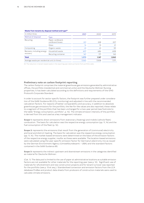| In million litres                              |                                      | 2021  | 2020  | 2019  |
|------------------------------------------------|--------------------------------------|-------|-------|-------|
| Method of disposal                             | Type                                 |       |       |       |
| Recycling                                      | Paper, cardboard,<br>cardboard boxes | 221   | 228   | 207   |
|                                                | Glass                                | 14    | 15    | 21    |
| Composting                                     | Organic waste                        | 61    | 61    | 59    |
| Recovery, including energy<br>recovery         | Household waste                      | 607   | 686   | 608   |
|                                                | Recycling container                  | 167   | 177   | 145   |
| <b>Total</b>                                   |                                      | 1,070 | 1,167 | 1,040 |
| Average waste per residential unit (in litres) |                                      | 7.060 | 7.508 | 7,171 |

#### **Waste from tenants by disposal method and type53**

53 The reduction in tenant-based waste in the reporting year stems primarily from portfolio sales.

#### **Preliminary note on carbon footprint reporting**

The carbon footprint comprises the material greenhouse gas emissions generated by administrative offices, the portfolio (residential and commercial units) and the Deutsche Wohnen Nursing properties; it has been calculated according to the definitions and requirements of the GHG Protocol's Corporate Standard.

In order to account for sector-specific factors, the footprint was further prepared under consideration of the GdW Guidance 85 (CO<sub>2</sub> monitoring) and adjusted in line with the recommended calculation factors. For reasons of better comparability and accuracy, in addition to absolute greenhouse gas emissions for the portfolio, the like-for-like values are also reported; these relate to a segment of the portfolio that has been unchanged for a two-year period (see footnote to the table "Energy consumption, portfolio", p. 14). The climate emission intensity of the portfolio is derived from this and used as a key management indicator.

**Scope 1:** represents direct emissions from stationary (heating) and mobile (vehicle fleet) combustion. The basis for calculation was the respective energy consumption (pp. 11, 14) and the fuel consumption of the fleet (p. 12).

**Scope 2:** represents the emissions that result from the generation of (communal) electricity and local and district heating. The basis for calculation was the respective energy consumption (pp. 11, 14). The market-based emissions were determined on the basis of the emission factors of the respective energy supplier, insofar as these were available. The location-based emissions were calculated using the year-specific emission factor for Germany's electricity mix as issued by the German Environment Agency (Umweltbundesamt – UBA) and the standard factors contained in the GdW Guidance 85.

**Scope 3:** represents the indirect upstream and downstream emissions in the categories identified as material for Deutsche Wohnen:

(Cat. 1): The data pool is limited to the use of paper at administrative locations as suitable emission factors are not available for other materials for the reporting year (see p. 12). Significant use of materials for refurbishment and new construction projects and for tenant turnover was reported for the portfolio (see p. 13 et seq.). Standardised conversion and emission factors from the LCA database ProBas and product data sheets from producers of construction materials were used to calculate climate emissions.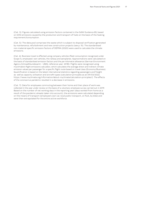(Cat. 3): Figures calculated using emission factors contained in the GdW Guidance 85, based on GHG emissions caused by the production and transport of fuels on the basis of the heating requirement/consumption.

(Cat. 5): The data pool comprises the waste which is subject to disposal verification generated by maintenance, refurbishment and new construction projects (see p. 15). The standardised non-material-specific emission factors of DEFRA (2020) were used to calculate the climate emissions.

(Cat. 6): Business travel is effected using company vehicles (fleet consumption recognised under Scope 1), employees' own vehicles, the railway and aeroplanes. Approximations were calculated on the basis of standardised emission factors and the per-kilometre allowance (German Environment Agency [Umweltbundesamt – UBA], reference year: 2018). Flights were recognised using myclimate's flight emissions calculator, which calculates the average direct and indirect climate emission values per passenger for a specific flight route based on travel class (Economy/Business). Quantification is based on the latest international statistics regarding passengers and freight as well as capacity utilisation and aircraft types (calculation principles as at 09/03/2022; https://www.myclimate.org/information/about-myclimate/calculation-principles/). The effects of the coronavirus pandemic resulted in a decrease in emissions.

(Cat. 7): Data for employees commuting between their home and their place of work was collected in the year under review on the basis of a voluntary employee survey carried out in 2019. Based on the number of net working days in the reporting year (days worked from home as a result of the pandemic already taken into account), the emissions were calculated depending on the means of transport (employee's own car, local public transport, on foot, by bike) and were then extrapolated for the entire active workforce.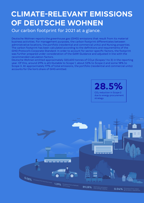## **CLIMATE-RELEVANT EMISSIONS OF DEUTSCHE WOHNEN**

 Our carbon footprint for 2021 at a glance.

Deutsche Wohnen reports the greenhouse gas (GHG) emissions that result from its material business activities. For management purposes, the carbon footprint differentiates between administrative locations, the portfolio (residential and commercial units) and Nursing properties. The carbon footprint has been calculated according to the definitions and requirements of the *GHG Protocol's Corporate Standard*. In order to account for sector-specific factors, the footprint was further prepared under consideration of the *GdW Guidance* and adjusted in line with the recommended calculation factors.

Deutsche Wohnen emitted approximately 320,600 tonnes of  $CO<sub>2</sub>$ e (Scopes 1 to 3) in the reporting year. Of this, around 29% is attributable to Scope 1, about 53% to Scope 2 and some 18% to Scope 3. At approximately 97% of total emissions, the portfolio (residential and commercial units) accounts for the lion's share of GHG emitted.

> **28.5%**  CO2 reduction in Scope 2 due to energy procurement strategy

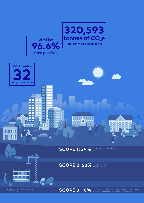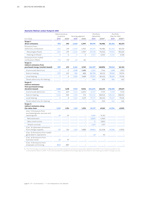#### **Deutsche Wohnen carbon footprint 2021**

|                                                                             | Administrative<br>locations |          | Nursing segment |                          | Portfolio<br>(absolute) |         | Portfolio<br>(like-for-like) |         |
|-----------------------------------------------------------------------------|-----------------------------|----------|-----------------|--------------------------|-------------------------|---------|------------------------------|---------|
| In $t$ CO <sub>2</sub> e                                                    | 2021                        | 2020     | 2021            | 2020                     | 2021                    | 202054  | 2021                         | 202054  |
| Scope 1:                                                                    |                             |          |                 |                          |                         |         |                              |         |
| direct emissions                                                            | 370                         | 392      | 4,065           | 4,997                    | 89,759                  | 96,982  | 82,364                       | 83,373  |
| Emissions from<br>stationary combustion                                     | 200                         | 219      | 4,005           | 4,937                    | 89,759                  | 96,982  | 82,364                       | 83,373  |
| Natural gas (fossil)                                                        | 200                         | 219      | 4,005           | 4,937                    | 87,228                  | 93,532  | 79,960                       | 80,225  |
| Heating oil (fossil)                                                        | $\circ$                     | $\circ$  | $\circ$         | O                        | 2,531                   | 3,450   | 2,404                        | 3,148   |
| Emissions from mobile<br>combustion (fleet)                                 | 170                         | 173      | 60              | 60                       |                         |         |                              |         |
| Scope 2:<br>indirect emissions from<br>purchased energy (market-based)      | 589                         | 672      | 3,562           | 3,769                    | 164,507                 | 168,896 | 159,616                      | 161,122 |
| (Communal) electricity                                                      | $\Omega$                    | $\Omega$ | 1,508           | 1,688                    | 2,241                   | 1,746   | 1,618                        | 1,550   |
| District heating                                                            | 589                         | 672      | 552             | 652                      | 82,195                  | 83,212  | 79,367                       | 79,974  |
| Local heating                                                               | $\circ$                     | $\circ$  | 1,502           | 1,429                    | 79,707                  | 83,432  | 78,267                       | 79,136  |
| Tenant electricity for heating                                              |                             |          |                 |                          | 364                     | 505     | 364                          | 462     |
| Scope 2:<br>indirect emissions<br>from purchased energy<br>(location-based) | 1,422                       | 1,618    | 7,923           | 9,034                    | 226,604                 | 224,011 | 218,685                      | 219,671 |
| (Communal) electricity                                                      | 395                         | 649      | 5,123           | 6,693                    | 13,501                  | 11,131  | 11,618                       | 11,131  |
| District heating                                                            | 1.026                       | 969      | 1,298           | 912                      | 133,032                 | 128,943 | 128,436                      | 128,943 |
| Local heating                                                               | $\Omega$                    | $\circ$  | 1,502           | 1,429                    | 79,707                  | 83,432  | 78,267                       | 79,136  |
| Tenant electricity for heating                                              |                             |          |                 |                          | 364                     | 505     | 364                          | 462     |
| Scope 3:<br>indirect emissions along<br>the value chain                     | 1,037                       | 1,194    | 1,513           | 1,555                    | 55,137                  | 67,261  | 47,334                       | 47,815  |
| (Cat. 1) Emissions from<br>purchased goods, services and<br>capital goods   | 54                          | 54       |                 | $\overline{\phantom{0}}$ | 5,261                   | 14,761  |                              |         |
| Refurbishment                                                               |                             |          |                 | $\overline{\phantom{0}}$ | 3,820                   | 4,969   |                              |         |
| New construction                                                            |                             |          |                 | $\overline{\phantom{0}}$ | O                       | 7,820   |                              |         |
| Tenant turnover                                                             |                             |          |                 |                          | 1,441                   | 1,971   |                              |         |
| (Cat. 3) Upstream emissions<br>from energy supplies                         | 137                         | 156      | 1,513           | 1,555                    | 49,853                  | 52,408  | 47,334                       | 47,815  |
| (Cat. 5) Emissions from waste<br>generated in operations                    |                             |          |                 |                          | 23                      | 92      |                              |         |
| (Cat. 6) Emissions from<br>business travel                                  | 46                          | 97       |                 |                          |                         |         |                              |         |
| (Cat. 7) Emissions from<br>employee commuting                               | 800                         | 887      |                 |                          |                         |         |                              |         |

54 The final energy consumption figures and corresponding  $CO_2$  emissions have been updated and differ from those provided in the<br>Sustainability Report 2020. This is attributable to updated final energy figures and data o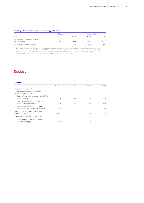#### **Strategic KPI: climate emissions intensity, portfolio55**

|                                               | Absolute |       |       | Like-for-like |  |  |
|-----------------------------------------------|----------|-------|-------|---------------|--|--|
| In t $CO2e$                                   | 2021     | 2020  | 2021  | 2020          |  |  |
| Climate emissions per sqm of<br>lettable area | 0.032    | 0.033 | 0.032 | 0.032         |  |  |
| Climate emissions per unit                    | 2 ດ      | っ へ   |       |               |  |  |

55 Climate emission intensity per sqm lettable area and unit is based on the energy consumption figures for the whole<br>portfolio or the like-for-like framework. All the Scope 1 and Scope 3 emissions (cat. 3) and the market-

## Society

| <b>Estates</b>                                                                        |       |      |      |      |
|---------------------------------------------------------------------------------------|-------|------|------|------|
|                                                                                       | Unit  | 2021 | 2020 | 2019 |
| Support for non-profit<br>initiatives and people in difficult<br>social circumstances |       |      |      |      |
| Share of new lets to people eligible for<br>social housing                            | $\%$  | 27   | 30   | 25   |
| Proportion of commercial units<br>used by small businesses                            | $\%$  | 60   | 60   | 60   |
| Proportion of commercial space<br>used for social/non-profit purposes                 | $\%$  | 16   | 11   | 10   |
| Support for non-profit initiatives,<br>donations and sponsorship                      | EUR m | 2.2  | 1.9  | 1.9  |
| Preservation of historic buildings                                                    |       |      |      |      |
| Investments in the refurbishment<br>of listed buildings                               | EUR m | 16.7 | 3.2  | 11.4 |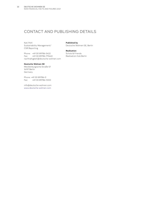## CONTACT AND PUBLISHING DETAILS

Kati Pohl Sustainability Management/ CSR Reporting

Phone: +49 30 89786-5422 Fax: +49 30 89786-775422 nachhaltigkeit@deutsche-wohnen.com

#### **Deutsche Wohnen SE**

Mecklenburgische Straße 57 14197 Berlin Germany

Phone: +49 30 89786-0 Fax: +49 30 89786-1000

info@deutsche-wohnen.com www.deutsche-wohnen.com

**Published by** Deutsche Wohnen SE, Berlin

**Realisation** Scholz & Friends Realisation Hub Berlin